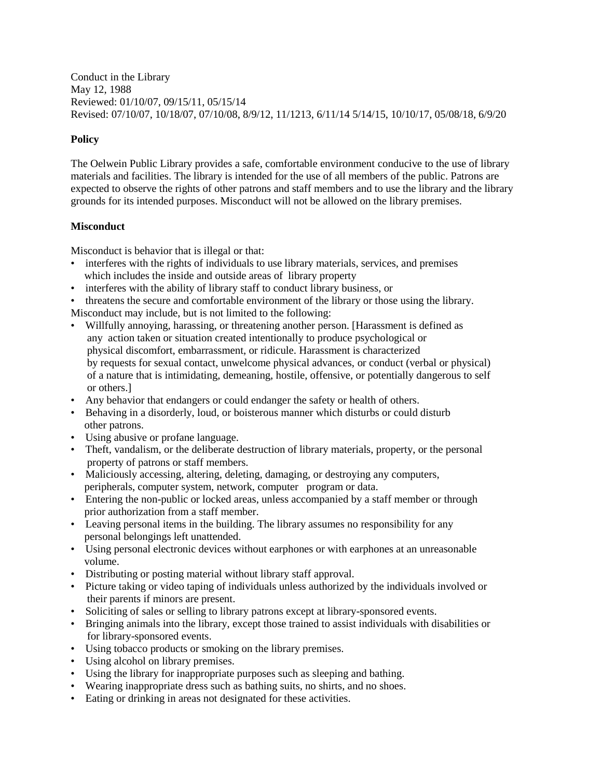Conduct in the Library May 12, 1988 Reviewed: 01/10/07, 09/15/11, 05/15/14 Revised: 07/10/07, 10/18/07, 07/10/08, 8/9/12, 11/1213, 6/11/14 5/14/15, 10/10/17, 05/08/18, 6/9/20

# **Policy**

The Oelwein Public Library provides a safe, comfortable environment conducive to the use of library materials and facilities. The library is intended for the use of all members of the public. Patrons are expected to observe the rights of other patrons and staff members and to use the library and the library grounds for its intended purposes. Misconduct will not be allowed on the library premises.

# **Misconduct**

Misconduct is behavior that is illegal or that:

- interferes with the rights of individuals to use library materials, services, and premises which includes the inside and outside areas of library property
- interferes with the ability of library staff to conduct library business, or
- threatens the secure and comfortable environment of the library or those using the library.

Misconduct may include, but is not limited to the following:

- Willfully annoying, harassing, or threatening another person. [Harassment is defined as any action taken or situation created intentionally to produce psychological or physical discomfort, embarrassment, or ridicule. Harassment is characterized by requests for sexual contact, unwelcome physical advances, or conduct (verbal or physical) of a nature that is intimidating, demeaning, hostile, offensive, or potentially dangerous to self or others.]
- Any behavior that endangers or could endanger the safety or health of others.
- Behaving in a disorderly, loud, or boisterous manner which disturbs or could disturb other patrons.
- Using abusive or profane language.
- Theft, vandalism, or the deliberate destruction of library materials, property, or the personal property of patrons or staff members.
- Maliciously accessing, altering, deleting, damaging, or destroying any computers, peripherals, computer system, network, computer program or data.
- Entering the non-public or locked areas, unless accompanied by a staff member or through prior authorization from a staff member.
- Leaving personal items in the building. The library assumes no responsibility for any personal belongings left unattended.
- Using personal electronic devices without earphones or with earphones at an unreasonable volume.
- Distributing or posting material without library staff approval.
- Picture taking or video taping of individuals unless authorized by the individuals involved or their parents if minors are present.
- Soliciting of sales or selling to library patrons except at library-sponsored events.
- Bringing animals into the library, except those trained to assist individuals with disabilities or for library-sponsored events.
- Using tobacco products or smoking on the library premises.
- Using alcohol on library premises.
- Using the library for inappropriate purposes such as sleeping and bathing.
- Wearing inappropriate dress such as bathing suits, no shirts, and no shoes.
- Eating or drinking in areas not designated for these activities.